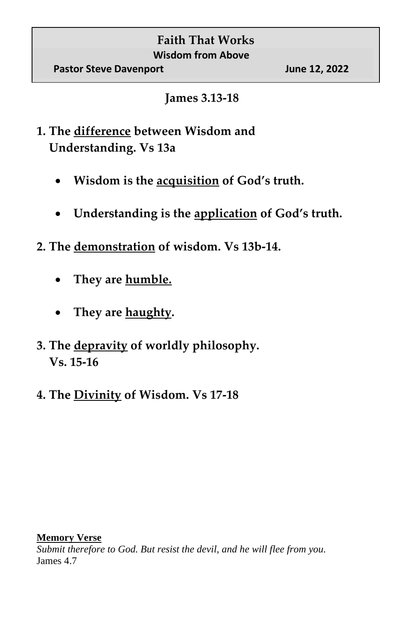## **Faith That Works Wisdom from Above**

## **James 3.13-18**

- **1. The difference between Wisdom and Understanding. Vs 13a**
	- **Wisdom is the acquisition of God's truth.**
	- **Understanding is the application of God's truth.**
- **2. The demonstration of wisdom. Vs 13b-14.** 
	- **They are humble.**
	- **They are haughty.**
- **3. The depravity of worldly philosophy. Vs. 15-16**
- **4. The Divinity of Wisdom. Vs 17-18**

## **Memory Verse**

*Submit therefore to God. But resist the devil, and he will flee from you.*  James 4.7